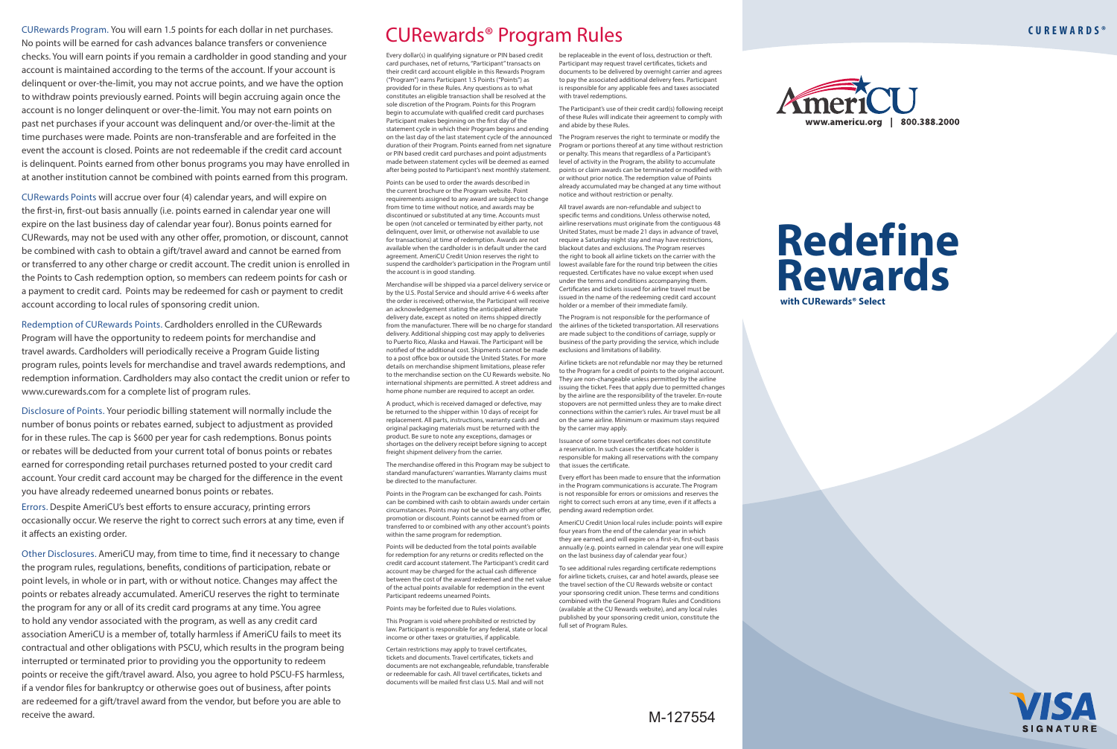CURewards Program. You will earn 1.5 points for each dollar in net purchases. CURewards Program. You will earn 1.5 points for each dollar in net purchases. No points will be earned for cash advances balance transfers or convenience No points will be earned for cash advances balance transfers or convenience checks. You will earn points if you remain a cardholder in good standing and your checks. You will earn points if you remain a cardholder in good standing and your account is maintained according to the terms of the account. If your account is account is maintained according to the terms of the account. If your account is delinquent or over-the-limit, you may not accrue points, and we have the option delinquent or over-the-limit, you may not accrue points, and we have the option to withdraw points previously earned. Points will begin accruing again once the to withdraw points previously earned. Points will begin accruing again once the account is no longer delinquent or over-the-limit. You may not earn points on account is no longer delinquent or over-the-limit. You may not earn points on past net purchases if your account was delinquent and/or over-the-limit at the past net purchases if your account was delinquent and/or over-the-limit at the time purchases were made. Points are non-transferable and are forfeited in the time purchases were made. Points are non-transferable and are forfeited in the event the account is closed. Points are not redeemable if the credit card account event the account is closed. Points are not redeemable if the credit card account is delinquent. Points earned from other bonus programs you may have enrolled in is delinquent. Points earned from other bonus programs you may have enrolled in at another institution cannot be combined with points earned from this program. at another institution cannot be combined with points earned from this program.

CURewards Points will accrue over four (4) calendar years, and will expire on CURewards Points will accrue over four (4) calendar years, and will expire on the first-in, first-out basis annually (i.e. points earned in calendar year one will the first-in, first-out basis annually (i.e. points earned in calendar year one will expire on the last business day of calendar year four). Bonus points earned for expire on the last business day of calendar year four). Bonus points earned for CURewards, may not be used with any other offer, promotion, or discount, cannot CURewards, may not be used with any other offer, promotion, or discount, cannot be combined with cash to obtain a gift/travel award and cannot be earned from be combined with cash to obtain a gift/travel award and cannot be earned from or transferred to any other charge or credit account. The credit union is enrolled in or transferred to any other charge or credit account. The credit union is enrolled in the Points to Cash redemption option, so members can redeem points for cash or the Points to Cash redemption option, so members can redeem points for cash or a payment to credit card. Points may be redeemed for cash or payment to credit a payment to credit card. Points may be redeemed for cash or payment to credit account according to local rules of sponsoring credit union. account according to local rules of sponsoring credit union.

Redemption of CURewards Points. Cardholders enrolled in the CURewards Redemption of CURewards Points. Cardholders enrolled in the CURewards Program will have the opportunity to redeem points for merchandise and Program will have the opportunity to redeem points for merchandise and travel awards. Cardholders will periodically receive a Program Guide listing travel awards. Cardholders will periodically receive a Program Guide listing program rules, points levels for merchandise and travel awards redemptions, and program rules, points levels for merchandise and travel awards redemptions, and redemption information. Cardholders may also contact the credit union or refer to redemption information. Cardholders may also contact the credit union or refer to www.curewards.com for a complete list of program rules. www.curewards.com for a complete list of program rules.

Disclosure of Points. Your periodic billing statement will normally include the Disclosure of Points. Your periodic billing statement will normally include the number of bonus points or rebates earned, subject to adjustment as provided number of bonus points or rebates earned, subject to adjustment as provided for in these rules. The cap is \$600 per year for cash redemptions. Bonus points for in these rules. The cap is \$600 per year for cash redemptions. Bonus points or rebates will be deducted from your current total of bonus points or rebates or rebates will be deducted from your current total of bonus points or rebates earned for corresponding retail purchases returned posted to your credit card earned for corresponding retail purchases returned posted to your credit card account. Your credit card account may be charged for the difference in the event account. Your credit card account may be charged for the difference in the event you have already redeemed unearned bonus points or rebates. you have already redeemed unearned bonus points or rebates.

Errors. Despite AmeriCU's best efforts to ensure accuracy, printing errors Errors. Despite AmeriCU's best efforts to ensure accuracy, printing errors occasionally occur. We reserve the right to correct such errors at any time, even if occasionally occur. We reserve the right to correct such errors at any time, even if it affects an existing order. it affects an existing order.

Other Disclosures. AmeriCU may, from time to time, find it necessary to change Other Disclosures. AmeriCU may, from time to time, find it necessary to change the program rules, regulations, benefits, conditions of participation, rebate or the program rules, regulations, benefits, conditions of participation, rebate or point levels, in whole or in part, with or without notice. Changes may affect the point levels, in whole or in part, with or without notice. Changes may affect the points or rebates already accumulated. AmeriCU reserves the right to terminate points or rebates already accumulated. AmeriCU reserves the right to terminate the program for any or all of its credit card programs at any time. You agree the program for any or all of its credit card programs at any time. You agree to hold any vendor associated with the program, as well as any credit card to hold any vendor associated with the program, as well as any credit card association AmeriCU is a member of, totally harmless if AmeriCU fails to meet its association AmeriCU is a member of, totally harmless if AmeriCU fails to meet its contractual and other obligations with PSCU, which results in the program being contractual and other obligations with PSCU, which results in the program being interrupted or terminated prior to providing you the opportunity to redeem interrupted or terminated prior to providing you the opportunity to redeem points or receive the gift/travel award. Also, you agree to hold PSCU-FS harmless, points or receive the gift/travel award. Also, you agree to hold PSCU-FS harmless, if a vendor files for bankruptcy or otherwise goes out of business, after points if a vendor files for bankruptcy or otherwise goes out of business, after points are redeemed for a gift/travel award from the vendor, but before you are able to are redeemed for a gift/travel award from the vendor, but before you are able to receive the award. receive the award.  $M-127554$ 

# CURewards® Program Rules CURewards® Program Rules

Every dollar(s) in qualifying signature or PIN based credit Every dollar(s) in qualifying signature or PIN based credit card purchases, net of returns, "Participant" transacts on card purchases, net of returns, "Participant" transacts on their credit card account eligible in this Rewards Program their credit card account eligible in this Rewards Program ("Program") earns Participant 1.5 Points ("Points") as ("Program") earns Participant 1.5 Points ("Points") as provided for in these Rules. Any questions as to what provided for in these Rules. Any questions as to what constitutes an eligible transaction shall be resolved at the constitutes an eligible transaction shall be resolved at the sole discretion of the Program. Points for this Program sole discretion of the Program. Points for this Program begin to accumulate with qualified credit card purchases begin to accumulate with qualified credit card purchases Participant makes beginning on the first day of the Participant makes beginning on the first day of the statement cycle in which their Program begins and ending statement cycle in which their Program begins and ending on the last day of the last statement cycle of the announced on the last day of the last statement cycle of the announced duration of their Program. Points earned from net signature Program or portions thereof at any time without restriction or PIN based credit card purchases and point adjustments or PIN based credit card purchases and point adjustments made between statement cycles will be deemed as earned made between statement cycles will be deemed as earned after being posted to Participant's next monthly statement. points or claim awards can be terminated or modified with

Points can be used to order the awards described in Points can be used to order the awards described in the current brochure or the Program website. Point the current brochure or the Program website. Point requirements assigned to any award are subject to change requirements assigned to any award are subject to change from time to time without notice, and awards may be from time to time without notice, and awards may be discontinued or substituted at any time. Accounts must discontinued or substituted at any time. Accounts must be open (not canceled or terminated by either party, not be open (not canceled or terminated by either party, not delinquent, over limit, or otherwise not available to use delinquent, over limit, or otherwise not available to use for transactions) at time of redemption. Awards are not for transactions) at time of redemption. Awards are not available when the cardholder is in default under the card available when the cardholder is in default under the card agreement. AmeriCU Credit Union reserves the right to agreement. AmeriCU Credit Union reserves the right to suspend the cardholder's participation in the Program until suspend the cardholder's participation in the Program until the account is in good standing. the account is in good standing.

Merchandise will be shipped via a parcel delivery service or Merchandise will be shipped via a parcel delivery service or by the U.S. Postal Service and should arrive 4-6 weeks after by the U.S. Postal Service and should arrive 4-6 weeks after the order is received; otherwise, the Participant will receive the order is received; otherwise, the Participant will receive an acknowledgement stating the anticipated alternate an acknowledgement stating the anticipated alternate delivery date, except as noted on items shipped directly delivery date, except as noted on items shipped directly from the manufacturer. There will be no charge for standard from the manufacturer. There will be no charge for standard delivery. Additional shipping cost may apply to deliveries delivery. Additional shipping cost may apply to deliveries to Puerto Rico, Alaska and Hawaii. The Participant will be to Puerto Rico, Alaska and Hawaii. The Participant will be notified of the additional cost. Shipments cannot be made notified of the additional cost. Shipments cannot be made to a post office box or outside the United States. For more to a post office box or outside the United States. For more details on merchandise shipment limitations, please refer details on merchandise shipment limitations, please refer to the merchandise section on the CU Rewards website. No to the merchandise section on the CU Rewards website. No international shipments are permitted. A street address and international shipments are permitted. A street address and home phone number are required to accept an order. home phone number are required to accept an order.

A product, which is received damaged or defective, may A product, which is received damaged or defective, may be returned to the shipper within 10 days of receipt for be returned to the shipper within 10 days of receipt for replacement. All parts, instructions, warranty cards and original packaging materials must be returned with the original packaging materials must be returned with the product. Be sure to note any exceptions, damages or product. Be sure to note any exceptions, damages or shortages on the delivery receipt before signing to accept shortages on the delivery receipt before signing to accept freight shipment delivery from the carrier. freight shipment delivery from the carrier.

The merchandise offered in this Program may be subject to that issues the certificate. The merchandise offered in this Program may be subject to that issues the certificate. standard manufacturers' warranties. Warranty claims must be directed to the manufacturer. be directed to the manufacturer.

Points in the Program can be exchanged for cash. Points Points in the Program can be exchanged for cash. Points can be combined with cash to obtain awards under certain right to correct such errors at any time, even if it affects a circumstances. Points may not be used with any other offer, pending award redemption order. circumstances. Points may not be used with any other offer, pending award redemption order. promotion or discount. Points cannot be earned from or promotion or discount. Points cannot be earned from or transferred to or combined with any other account's points transferred to or combined with any other account's points within the same program for redemption. within the same program for redemption.

Points will be deducted from the total points available Points will be deducted from the total points available for redemption for any returns or credits reflected on the for redemption for any returns or credits reflected on the credit card account statement. The Participant's credit card credit card account statement. The Participant's credit card account may be charged for the actual cash difference account may be charged for the actual cash difference between the cost of the award redeemed and the net value between the cost of the award redeemed and the net value of the actual points available for redemption in the event of the actual points available for redemption in the event Participant redeems unearned Points. Participant redeems unearned Points.

Points may be forfeited due to Rules violations. Points may be forfeited due to Rules violations.

This Program is void where prohibited or restricted by This Program is void where prohibited or restricted by law. Participant is responsible for any federal, state or local law. Participant is responsible for any federal, state or local income or other taxes or gratuities, if applicable. income or other taxes or gratuities, if applicable.

Certain restrictions may apply to travel certificates, Certain restrictions may apply to travel certificates, tickets and documents. Travel certificates, tickets and tickets and documents. Travel certificates, tickets and documents are not exchangeable, refundable, transferable documents are not exchangeable, refundable, transferable or redeemable for cash. All travel certificates, tickets and or redeemable for cash. All travel certificates, tickets and documents will be mailed first class U.S. Mail and will not documents will be mailed first class U.S. Mail and will not

be replaceable in the event of loss, destruction or theft. be replaceable in the event of loss, destruction or theft. Participant may request travel certificates, tickets and Participant may request travel certificates, tickets and documents to be delivered by overnight carrier and agrees documents to be delivered by overnight carrier and agrees to pay the associated additional delivery fees. Participant to pay the associated additional delivery fees. Participant is responsible for any applicable fees and taxes associated is responsible for any applicable fees and taxes associated with travel redemptions. with travel redemptions.

The Participant's use of their credit card(s) following receipt The Participant's use of their credit card(s) following receipt of these Rules will indicate their agreement to comply with of these Rules will indicate their agreement to comply with and abide by these Rules. and abide by these Rules.

The Program reserves the right to terminate or modify the The Program reserves the right to terminate or modify the or penalty. This means that regardless of a Participant's or penalty. This means that regardless of a Participant's level of activity in the Program, the ability to accumulate level of activity in the Program, the ability to accumulate or without prior notice. The redemption value of Points or without prior notice. The redemption value of Points already accumulated may be changed at any time without already accumulated may be changed at any time without notice and without restriction or penalty. notice and without restriction or penalty.

All travel awards are non-refundable and subject to All travel awards are non-refundable and subject to specific terms and conditions. Unless otherwise noted, specific terms and conditions. Unless otherwise noted, airline reservations must originate from the contiguous 48 airline reservations must originate from the contiguous 48 United States, must be made 21 days in advance of travel, United States, must be made 21 days in advance of travel, require a Saturday night stay and may have restrictions, require a Saturday night stay and may have restrictions, blackout dates and exclusions. The Program reserves blackout dates and exclusions. The Program reserves the right to book all airline tickets on the carrier with the the right to book all airline tickets on the carrier with the lowest available fare for the round trip between the cities lowest available fare for the round trip between the cities requested. Certificates have no value except when used requested. Certificates have no value except when used under the terms and conditions accompanying them. under the terms and conditions accompanying them. Certificates and tickets issued for airline travel must be Certificates and tickets issued for airline travel must be issued in the name of the redeeming credit card account issued in the name of the redeeming credit card account holder or a member of their immediate family. holder or a member of their immediate family.

The Program is not responsible for the performance of The Program is not responsible for the performance of the airlines of the ticketed transportation. All reservations the airlines of the ticketed transportation. All reservations are made subject to the conditions of carriage, supply or are made subject to the conditions of carriage, supply or business of the party providing the service, which include business of the party providing the service, which include exclusions and limitations of liability. exclusions and limitations of liability.

Airline tickets are not refundable nor may they be returned Airline tickets are not refundable nor may they be returned to the Program for a credit of points to the original account. to the Program for a credit of points to the original account. They are non-changeable unless permitted by the airline They are non-changeable unless permitted by the airline issuing the ticket. Fees that apply due to permitted changes issuing the ticket. Fees that apply due to permitted changes by the airline are the responsibility of the traveler. En-route by the airline are the responsibility of the traveler. En-route stopovers are not permitted unless they are to make direct stopovers are not permitted unless they are to make direct

connections within the carrier's rules. Air travel must be all connections within the carrier's rules. Air travel must be all on the same airline. Minimum or maximum stays required by the carrier may apply. by the carrier may apply.

Issuance of some travel certificates does not constitute Issuance of some travel certificates does not constitute a reservation. In such cases the certificate holder is a reservation. In such cases the certificate holder is responsible for making all reservations with the company responsible for making all reservations with the company

Every effort has been made to ensure that the information Every effort has been made to ensure that the information in the Program communications is accurate. The Program in the Program communications is accurate. The Program is not responsible for errors or omissions and reserves the is not responsible for errors or omissions and reserves the

AmeriCU Credit Union local rules include: points will expire AmeriCU Credit Union local rules include: points will expire four years from the end of the calendar year in which four years from the end of the calendar year in which they are earned, and will expire on a first-in, first-out basis they are earned, and will expire on a first-in, first-out basis annually (e.g. points earned in calendar year one will expire annually (e.g. points earned in calendar year one will expire on the last business day of calendar year four.) on the last business day of calendar year four.)

To see additional rules regarding certificate redemptions To see additional rules regarding certificate redemptions for airline tickets, cruises, car and hotel awards, please see for airline tickets, cruises, car and hotel awards, please see the travel section of the CU Rewards website or contact the travel section of the CU Rewards website or contact your sponsoring credit union. These terms and conditions your sponsoring credit union. These terms and conditions combined with the General Program Rules and Conditions combined with the General Program Rules and Conditions (available at the CU Rewards website), and any local rules (available at the CU Rewards website), and any local rules published by your sponsoring credit union, constitute the published by your sponsoring credit union, constitute the full set of Program Rules. full set of Program Rules.



**Redefine Redefine Rewards Rewards with CURewards® Select with CURewards® Select**